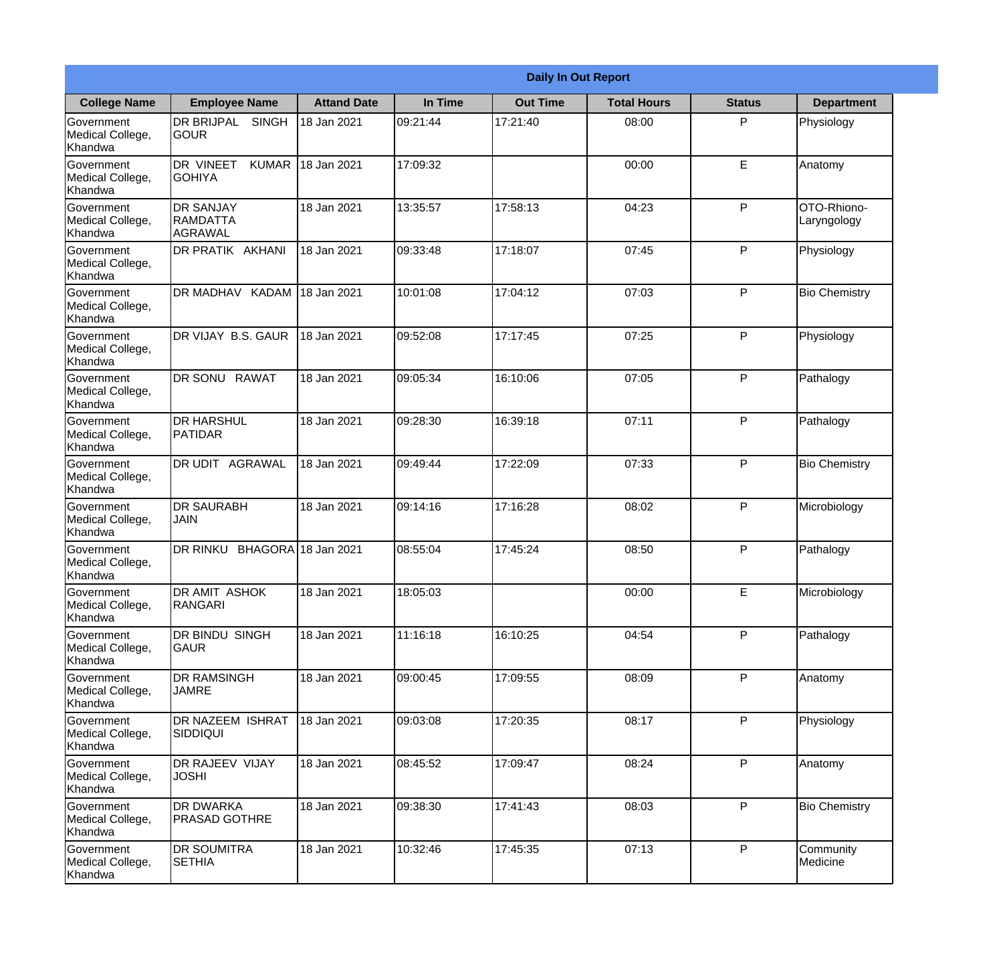|                                                  |                                                       |                     |          | <b>Daily In Out Report</b> |                    |               |                            |
|--------------------------------------------------|-------------------------------------------------------|---------------------|----------|----------------------------|--------------------|---------------|----------------------------|
| <b>College Name</b>                              | <b>Employee Name</b>                                  | <b>Attand Date</b>  | In Time  | <b>Out Time</b>            | <b>Total Hours</b> | <b>Status</b> | <b>Department</b>          |
| Government<br>Medical College,<br>Khandwa        | <b>DR BRIJPAL</b><br><b>SINGH</b><br><b>GOUR</b>      | 18 Jan 2021         | 09:21:44 | 17:21:40                   | 08:00              | P             | Physiology                 |
| Government<br>Medical College,<br>Khandwa        | DR VINEET<br><b>KUMAR</b><br><b>GOHIYA</b>            | 18 Jan 2021         | 17:09:32 |                            | 00:00              | E             | Anatomy                    |
| <b>Government</b><br>Medical College,<br>Khandwa | <b>DR SANJAY</b><br><b>RAMDATTA</b><br><b>AGRAWAL</b> | 18 Jan 2021         | 13:35:57 | 17:58:13                   | 04:23              | P             | OTO-Rhiono-<br>Laryngology |
| Government<br>Medical College,<br>Khandwa        | DR PRATIK AKHANI                                      | 18 Jan 2021         | 09:33:48 | 17:18:07                   | 07:45              | P             | Physiology                 |
| Government<br>Medical College,<br>Khandwa        | DR MADHAV KADAM                                       | 18 Jan 2021         | 10:01:08 | 17:04:12                   | 07:03              | P             | <b>Bio Chemistry</b>       |
| Government<br>Medical College,<br>Khandwa        | DR VIJAY B.S. GAUR                                    | 18 Jan 2021         | 09:52:08 | 17:17:45                   | 07:25              | P             | Physiology                 |
| <b>Government</b><br>Medical College,<br>Khandwa | <b>DR SONU RAWAT</b>                                  | 18 Jan 2021         | 09:05:34 | 16:10:06                   | 07:05              | P             | Pathalogy                  |
| <b>Government</b><br>Medical College,<br>Khandwa | <b>DR HARSHUL</b><br>PATIDAR                          | 18 Jan 2021         | 09:28:30 | 16:39:18                   | 07:11              | P             | Pathalogy                  |
| Government<br>Medical College,<br>Khandwa        | <b>DR UDIT AGRAWAL</b>                                | 18 Jan 2021         | 09:49:44 | 17:22:09                   | 07:33              | P             | <b>Bio Chemistry</b>       |
| Government<br>Medical College,<br>Khandwa        | <b>DR SAURABH</b><br><b>JAIN</b>                      | 18 Jan 2021         | 09:14:16 | 17:16:28                   | 08:02              | P             | Microbiology               |
| Government<br>Medical College,<br>Khandwa        | <b>DR RINKU</b>                                       | BHAGORA 18 Jan 2021 | 08:55:04 | 17:45:24                   | 08:50              | P             | Pathalogy                  |
| Government<br>Medical College,<br>Khandwa        | DR AMIT ASHOK<br>RANGARI                              | 18 Jan 2021         | 18:05:03 |                            | 00:00              | E             | Microbiology               |
| Government<br>Medical College,<br>Khandwa        | <b>DR BINDU SINGH</b><br><b>GAUR</b>                  | 18 Jan 2021         | 11:16:18 | 16:10:25                   | 04:54              | P             | Pathalogy                  |
| Government<br>Medical College,<br>Khandwa        | <b>DR RAMSINGH</b><br><b>JAMRE</b>                    | 18 Jan 2021         | 09:00:45 | 17:09:55                   | 08:09              | P             | Anatomy                    |
| Government<br>Medical College,<br>Khandwa        | DR NAZEEM ISHRAT<br><b>SIDDIQUI</b>                   | 18 Jan 2021         | 09:03:08 | 17:20:35                   | 08:17              | P             | Physiology                 |
| Government<br>Medical College,<br>Khandwa        | DR RAJEEV VIJAY<br><b>JOSHI</b>                       | 18 Jan 2021         | 08:45:52 | 17:09:47                   | 08:24              | P             | Anatomy                    |
| Government<br>Medical College,<br>Khandwa        | <b>DR DWARKA</b><br><b>PRASAD GOTHRE</b>              | 18 Jan 2021         | 09:38:30 | 17:41:43                   | 08:03              | P             | <b>Bio Chemistry</b>       |
| Government<br>Medical College,<br>Khandwa        | <b>DR SOUMITRA</b><br><b>SETHIA</b>                   | 18 Jan 2021         | 10:32:46 | 17:45:35                   | 07:13              | P             | Community<br>Medicine      |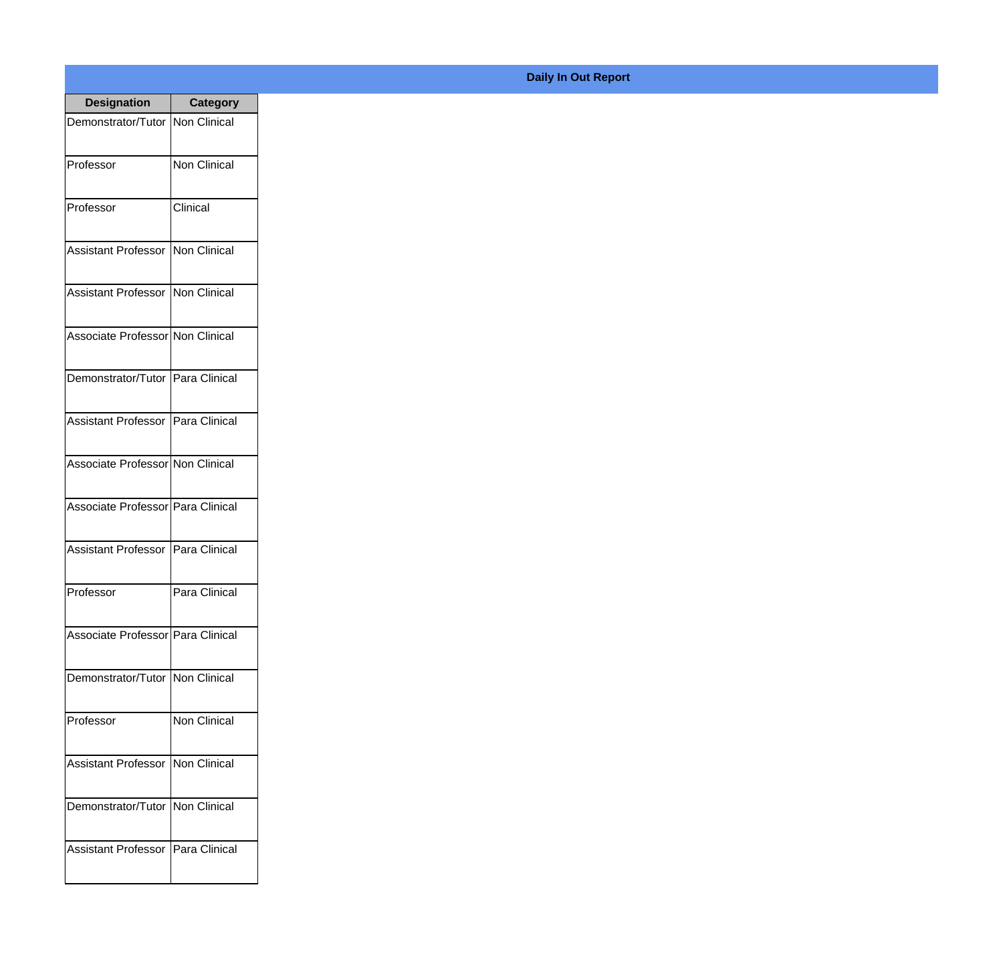| <b>Designation</b>                  | <b>Category</b>     |
|-------------------------------------|---------------------|
| Demonstrator/Tutor   Non Clinical   |                     |
| Professor                           | <b>Non Clinical</b> |
| Professor                           | Clinical            |
| Assistant Professor                 | Non Clinical        |
| <b>Assistant Professor</b>          | Non Clinical        |
| Associate Professor Non Clinical    |                     |
| Demonstrator/Tutor Para Clinical    |                     |
| Assistant Professor   Para Clinical |                     |
| Associate Professor Non Clinical    |                     |
| Associate Professor Para Clinical   |                     |
| <b>Assistant Professor</b>          | Para Clinical       |
| Professor                           | Para Clinical       |
| Associate Professor   Para Clinical |                     |
| Demonstrator/Tutor   Non Clinical   |                     |
| Professor                           | <b>Non Clinical</b> |
| <b>Assistant Professor</b>          | Non Clinical        |
| Demonstrator/Tutor   Non Clinical   |                     |
| Assistant Professor   Para Clinical |                     |

## **Daily In Out Report**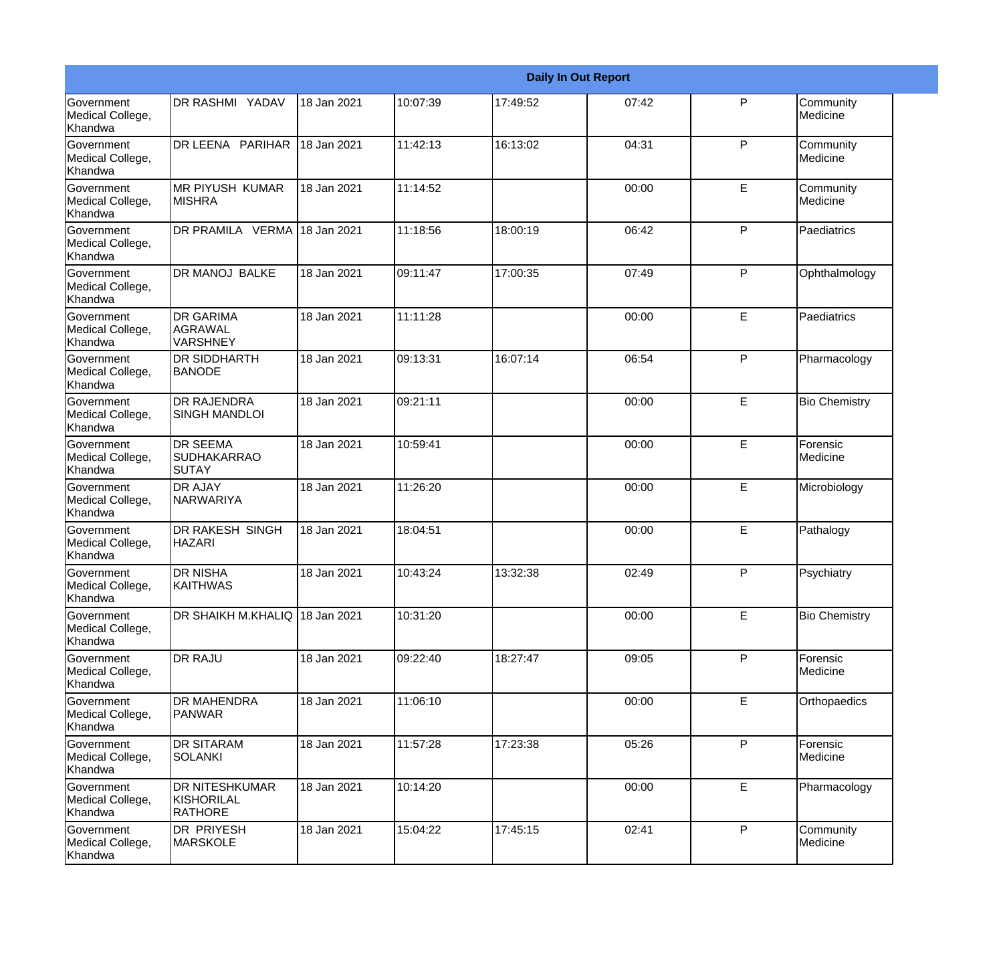|                                                  |                                                       |             |          |          | <b>Daily In Out Report</b> |              |                       |
|--------------------------------------------------|-------------------------------------------------------|-------------|----------|----------|----------------------------|--------------|-----------------------|
| Government<br>Medical College,<br>Khandwa        | DR RASHMI YADAV                                       | 18 Jan 2021 | 10:07:39 | 17:49:52 | 07:42                      | $\mathsf{P}$ | Community<br>Medicine |
| <b>Government</b><br>Medical College,<br>Khandwa | DR LEENA PARIHAR                                      | 18 Jan 2021 | 11:42:13 | 16:13:02 | 04:31                      | $\mathsf{P}$ | Community<br>Medicine |
| <b>Government</b><br>Medical College,<br>Khandwa | <b>MR PIYUSH KUMAR</b><br><b>MISHRA</b>               | 18 Jan 2021 | 11:14:52 |          | 00:00                      | E            | Community<br>Medicine |
| Government<br>Medical College,<br>Khandwa        | DR PRAMILA VERMA 18 Jan 2021                          |             | 11:18:56 | 18:00:19 | 06:42                      | $\mathsf{P}$ | Paediatrics           |
| Government<br>Medical College,<br>Khandwa        | DR MANOJ BALKE                                        | 18 Jan 2021 | 09:11:47 | 17:00:35 | 07:49                      | P            | Ophthalmology         |
| <b>Government</b><br>Medical College,<br>Khandwa | <b>DR GARIMA</b><br><b>AGRAWAL</b><br><b>VARSHNEY</b> | 18 Jan 2021 | 11:11:28 |          | 00:00                      | E            | Paediatrics           |
| Government<br>Medical College,<br>Khandwa        | <b>DR SIDDHARTH</b><br><b>BANODE</b>                  | 18 Jan 2021 | 09:13:31 | 16:07:14 | 06:54                      | P            | Pharmacology          |
| Government<br>Medical College,<br>Khandwa        | <b>DR RAJENDRA</b><br><b>SINGH MANDLOI</b>            | 18 Jan 2021 | 09:21:11 |          | 00:00                      | E            | <b>Bio Chemistry</b>  |
| Government<br>Medical College,<br>Khandwa        | <b>DR SEEMA</b><br><b>SUDHAKARRAO</b><br>ISUTAY       | 18 Jan 2021 | 10:59:41 |          | 00:00                      | E            | Forensic<br>Medicine  |
| <b>Government</b><br>Medical College,<br>Khandwa | <b>DR AJAY</b><br>NARWARIYA                           | 18 Jan 2021 | 11:26:20 |          | 00:00                      | E            | Microbiology          |
| <b>Government</b><br>Medical College,<br>Khandwa | <b>DR RAKESH SINGH</b><br><b>HAZARI</b>               | 18 Jan 2021 | 18:04:51 |          | 00:00                      | E            | Pathalogy             |
| Government<br>Medical College,<br>Khandwa        | <b>DR NISHA</b><br><b>KAITHWAS</b>                    | 18 Jan 2021 | 10:43:24 | 13:32:38 | 02:49                      | P            | Psychiatry            |
| <b>Government</b><br>Medical College,<br>Khandwa | DR SHAIKH M.KHALIQ 18 Jan 2021                        |             | 10:31:20 |          | 00:00                      | E            | <b>Bio Chemistry</b>  |
| Government<br>Medical College,<br>Khandwa        | DR RAJU                                               | 18 Jan 2021 | 09:22:40 | 18:27:47 | 09:05                      | P            | Forensic<br>Medicine  |
| Government<br>Medical College,<br>Khandwa        | <b>DR MAHENDRA</b><br><b>PANWAR</b>                   | 18 Jan 2021 | 11:06:10 |          | 00:00                      | E            | Orthopaedics          |
| Government<br>Medical College,<br>Khandwa        | <b>DR SITARAM</b><br><b>SOLANKI</b>                   | 18 Jan 2021 | 11:57:28 | 17:23:38 | 05:26                      | $\mathsf{P}$ | Forensic<br>Medicine  |
| Government<br>Medical College,<br>Khandwa        | DR NITESHKUMAR<br>KISHORILAL<br><b>RATHORE</b>        | 18 Jan 2021 | 10:14:20 |          | 00:00                      | E            | Pharmacology          |
| Government<br>Medical College,<br>Khandwa        | DR PRIYESH<br>MARSKOLE                                | 18 Jan 2021 | 15:04:22 | 17:45:15 | 02:41                      | P            | Community<br>Medicine |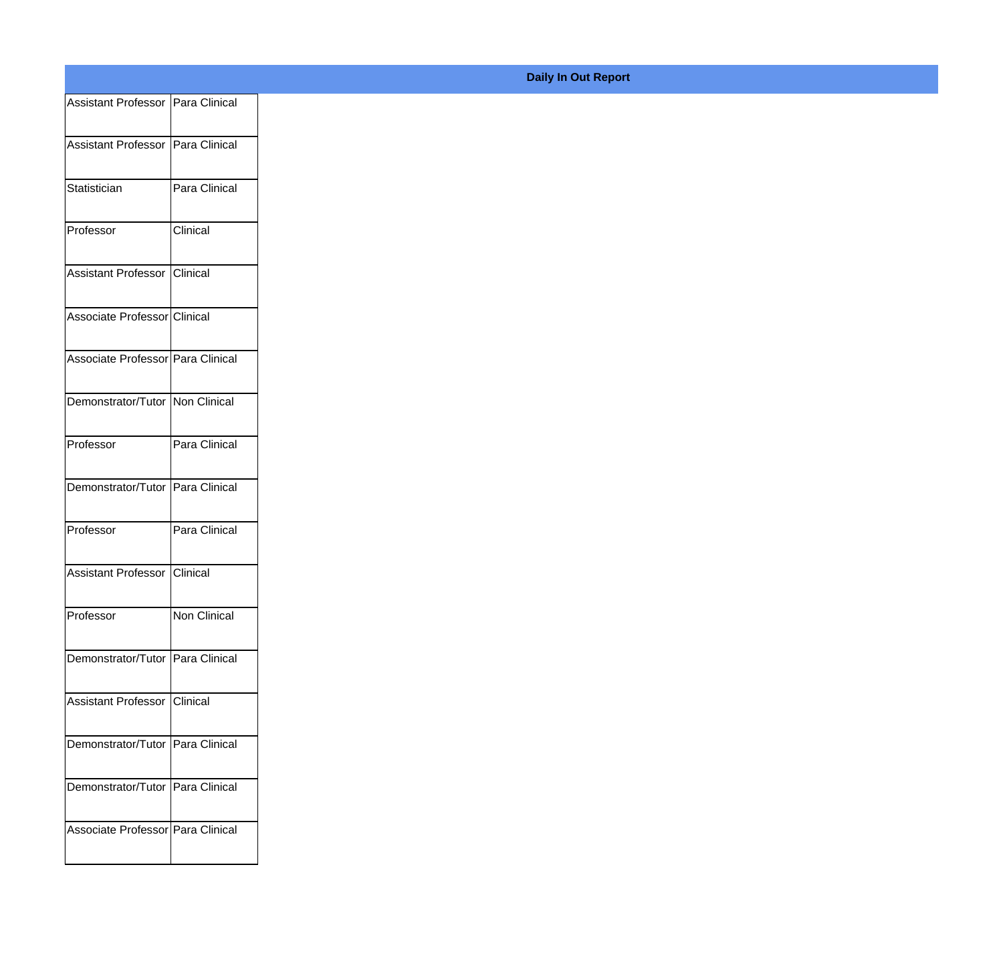| Assistant Professor Para Clinical<br>Assistant Professor Para Clinical |               |
|------------------------------------------------------------------------|---------------|
|                                                                        |               |
|                                                                        |               |
|                                                                        |               |
| Statistician                                                           | Para Clinical |
| Professor                                                              | Clinical      |
|                                                                        |               |
| Assistant Professor Clinical                                           |               |
| Associate Professor Clinical                                           |               |
| Associate Professor Para Clinical                                      |               |
|                                                                        |               |
| Demonstrator/Tutor Non Clinical                                        |               |
| Professor                                                              | Para Clinical |
|                                                                        |               |
| Demonstrator/Tutor Para Clinical                                       |               |
| Professor                                                              | Para Clinical |
| Assistant Professor Clinical                                           |               |
|                                                                        |               |
| Professor                                                              | Non Clinical  |
| Demonstrator/Tutor Para Clinical                                       |               |
| Assistant Professor Clinical                                           |               |
|                                                                        |               |
| Demonstrator/Tutor Para Clinical                                       |               |
| Demonstrator/Tutor Para Clinical                                       |               |
|                                                                        |               |
| Associate Professor Para Clinical                                      |               |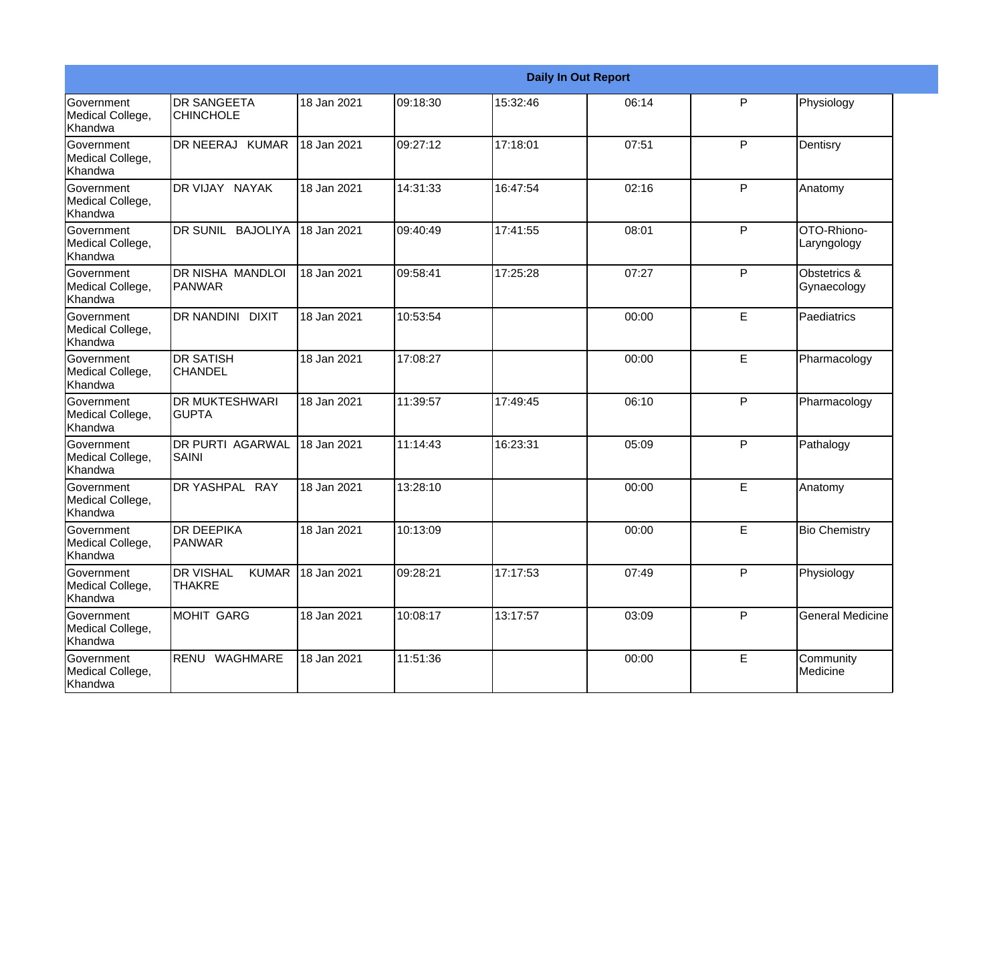|                                                  |                                        |                   |          |          | <b>Daily In Out Report</b> |   |                             |
|--------------------------------------------------|----------------------------------------|-------------------|----------|----------|----------------------------|---|-----------------------------|
| Government<br>Medical College,<br>Khandwa        | <b>DR SANGEETA</b><br><b>CHINCHOLE</b> | 18 Jan 2021       | 09:18:30 | 15:32:46 | 06:14                      | P | Physiology                  |
| Government<br>Medical College,<br>Khandwa        | DR NEERAJ KUMAR                        | 18 Jan 2021       | 09:27:12 | 17:18:01 | 07:51                      | P | Dentisry                    |
| <b>Government</b><br>Medical College,<br>Khandwa | DR VIJAY NAYAK                         | 18 Jan 2021       | 14:31:33 | 16:47:54 | 02:16                      | P | Anatomy                     |
| Government<br>Medical College,<br>Khandwa        | DR SUNIL BAJOLIYA                      | 18 Jan 2021       | 09:40:49 | 17:41:55 | 08:01                      | P | OTO-Rhiono-<br>Laryngology  |
| Government<br>Medical College,<br>Khandwa        | <b>DR NISHA MANDLOI</b><br>PANWAR      | 18 Jan 2021       | 09:58:41 | 17:25:28 | 07:27                      | P | Obstetrics &<br>Gynaecology |
| Government<br>Medical College,<br>Khandwa        | DR NANDINI DIXIT                       | 18 Jan 2021       | 10:53:54 |          | 00:00                      | E | Paediatrics                 |
| <b>Government</b><br>Medical College,<br>Khandwa | <b>DR SATISH</b><br><b>CHANDEL</b>     | 18 Jan 2021       | 17:08:27 |          | 00:00                      | E | Pharmacology                |
| Government<br>Medical College,<br>Khandwa        | <b>DR MUKTESHWARI</b><br><b>GUPTA</b>  | 18 Jan 2021       | 11:39:57 | 17:49:45 | 06:10                      | P | Pharmacology                |
| Government<br>Medical College,<br>Khandwa        | <b>DR PURTI AGARWAL</b><br>SAINI       | 18 Jan 2021       | 11:14:43 | 16:23:31 | 05:09                      | P | Pathalogy                   |
| Government<br>Medical College,<br>Khandwa        | DR YASHPAL RAY                         | 18 Jan 2021       | 13:28:10 |          | 00:00                      | E | Anatomy                     |
| <b>Government</b><br>Medical College,<br>Khandwa | <b>DR DEEPIKA</b><br><b>PANWAR</b>     | 18 Jan 2021       | 10:13:09 |          | 00:00                      | E | <b>Bio Chemistry</b>        |
| Government<br>Medical College,<br>Khandwa        | <b>DR VISHAL</b><br><b>THAKRE</b>      | KUMAR 18 Jan 2021 | 09:28:21 | 17:17:53 | 07:49                      | P | Physiology                  |
| Government<br>Medical College,<br>Khandwa        | MOHIT GARG                             | 18 Jan 2021       | 10:08:17 | 13:17:57 | 03:09                      | P | <b>General Medicine</b>     |
| Government<br>Medical College,<br>Khandwa        | RENU WAGHMARE                          | 18 Jan 2021       | 11:51:36 |          | 00:00                      | E | Community<br>Medicine       |